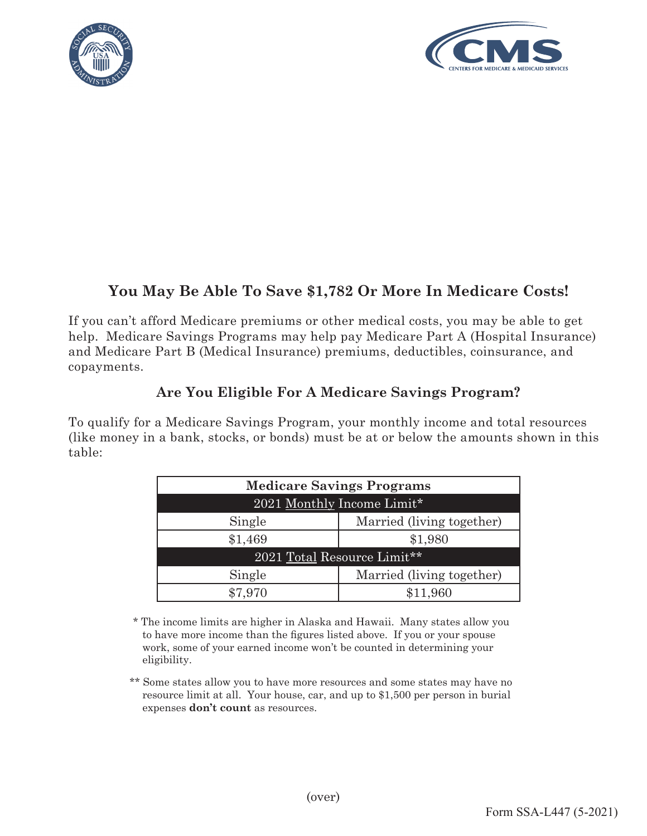



## **You May Be Able To Save \$1,782 Or More In Medicare Costs!**

If you can't afford Medicare premiums or other medical costs, you may be able to get help. Medicare Savings Programs may help pay Medicare Part A (Hospital Insurance) and Medicare Part B (Medical Insurance) premiums, deductibles, coinsurance, and copayments.

## **Are You Eligible For A Medicare Savings Program?**

To qualify for a Medicare Savings Program, your monthly income and total resources (like money in a bank, stocks, or bonds) must be at or below the amounts shown in this table:

| <b>Medicare Savings Programs</b> |                           |
|----------------------------------|---------------------------|
| 2021 Monthly Income Limit*       |                           |
| Single                           | Married (living together) |
| \$1,469                          | \$1,980                   |
| 2021 Total Resource Limit**      |                           |
| Single                           | Married (living together) |
| \$7 970                          | \$11,960                  |

\* The income limits are higher in Alaska and Hawaii. Many states allow you to have more income than the figures listed above. If you or your spouse work, some of your earned income won't be counted in determining your eligibility.

 \*\* Some states allow you to have more resources and some states may have no resource limit at all. Your house, car, and up to \$1,500 per person in burial expenses **don't count** as resources.